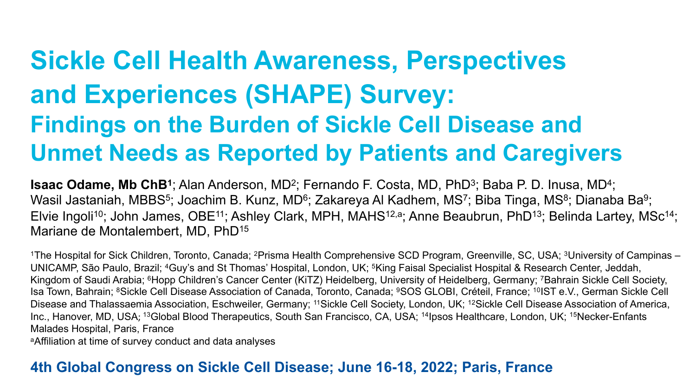# **Sickle Cell Health Awareness, Perspectives and Experiences (SHAPE) Survey: Findings on the Burden of Sickle Cell Disease and Unmet Needs as Reported by Patients and Caregivers**

**Isaac Odame, Mb ChB**<sup>1</sup>; Alan Anderson, MD<sup>2</sup>; Fernando F. Costa, MD, PhD<sup>3</sup>; Baba P. D. Inusa, MD<sup>4</sup>; Wasil Jastaniah, MBBS<sup>5</sup>; Joachim B. Kunz, MD<sup>6</sup>; Zakareya Al Kadhem, MS<sup>7</sup>; Biba Tinga, MS<sup>8</sup>; Dianaba Ba<sup>9</sup>; Elvie Ingoli<sup>10</sup>; John James, OBE<sup>11</sup>; Ashley Clark, MPH, MAHS<sup>12,a</sup>; Anne Beaubrun, PhD<sup>13</sup>; Belinda Lartey, MSc<sup>14</sup>; Mariane de Montalembert, MD, PhD15

<sup>1</sup>The Hospital for Sick Children, Toronto, Canada; <sup>2</sup>Prisma Health Comprehensive SCD Program, Greenville, SC, USA; <sup>3</sup>University of Campinas – UNICAMP, São Paulo, Brazil; 4Guy's and St Thomas' Hospital, London, UK; 5King Faisal Specialist Hospital & Research Center, Jeddah, Kingdom of Saudi Arabia; 6Hopp Children's Cancer Center (KiTZ) Heidelberg, University of Heidelberg, Germany; 7Bahrain Sickle Cell Society, Isa Town, Bahrain; 8Sickle Cell Disease Association of Canada, Toronto, Canada; 9SOS GLOBI, Créteil, France; 10IST e.V., German Sickle Cell Disease and Thalassaemia Association, Eschweiler, Germany; <sup>11</sup>Sickle Cell Society, London, UK; <sup>12</sup>Sickle Cell Disease Association of America, Inc., Hanover, MD, USA; 13Global Blood Therapeutics, South San Francisco, CA, USA; 14Ipsos Healthcare, London, UK; 15Necker-Enfants Malades Hospital, Paris, France

aAffiliation at time of survey conduct and data analyses

#### **4th Global Congress on Sickle Cell Disease; June 16-18, 2022; Paris, France**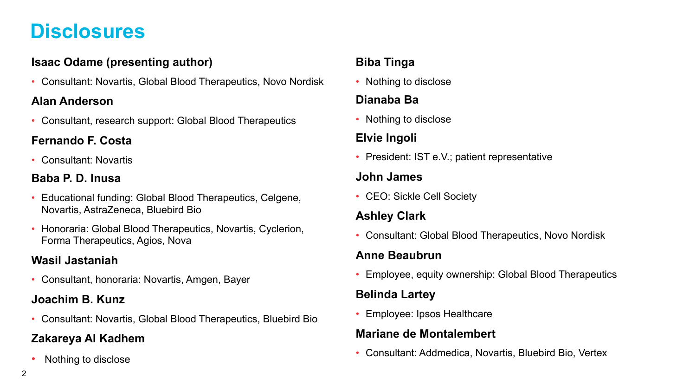### **Disclosures**

#### **Isaac Odame (presenting author)**

• Consultant: Novartis, Global Blood Therapeutics, Novo Nordisk

#### **Alan Anderson**

• Consultant, research support: Global Blood Therapeutics

#### **Fernando F. Costa**

• Consultant: Novartis

#### **Baba P. D. Inusa**

- Educational funding: Global Blood Therapeutics, Celgene, Novartis, AstraZeneca, Bluebird Bio
- Honoraria: Global Blood Therapeutics, Novartis, Cyclerion, Forma Therapeutics, Agios, Nova

#### **Wasil Jastaniah**

• Consultant, honoraria: Novartis, Amgen, Bayer

#### **Joachim B. Kunz**

• Consultant: Novartis, Global Blood Therapeutics, Bluebird Bio

#### **Zakareya Al Kadhem**

• Nothing to disclose

#### **Biba Tinga**

• Nothing to disclose

#### **Dianaba Ba**

• Nothing to disclose

#### **Elvie Ingoli**

• President: IST e.V.; patient representative

#### **John James**

• CEO: Sickle Cell Society

#### **Ashley Clark**

• Consultant: Global Blood Therapeutics, Novo Nordisk

#### **Anne Beaubrun**

• Employee, equity ownership: Global Blood Therapeutics

#### **Belinda Lartey**

• Employee: Ipsos Healthcare

#### **Mariane de Montalembert**

• Consultant: Addmedica, Novartis, Bluebird Bio, Vertex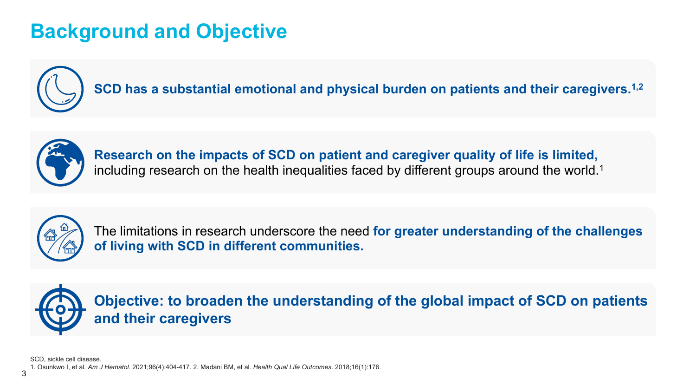## **Background and Objective**



**SCD has a substantial emotional and physical burden on patients and their caregivers.1,2**



**Research on the impacts of SCD on patient and caregiver quality of life is limited,**  including research on the health inequalities faced by different groups around the world.<sup>1</sup>



The limitations in research underscore the need **for greater understanding of the challenges of living with SCD in different communities.** 



**Objective: to broaden the understanding of the global impact of SCD on patients and their caregivers**

SCD, sickle cell disease.

1. Osunkwo I, et al. *Am J Hematol*. 2021;96(4):404-417. 2. Madani BM, et al. *Health Qual Life Outcomes*. 2018;16(1):176.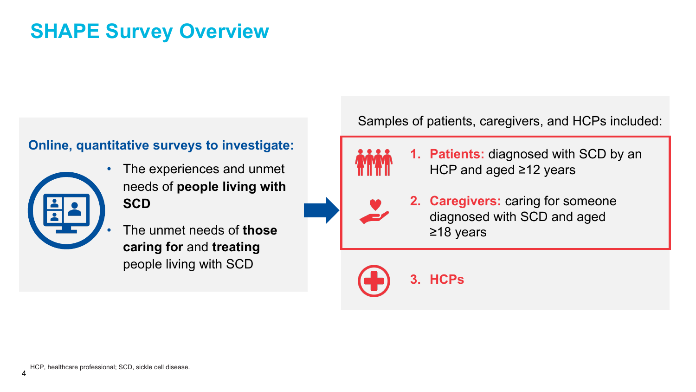### **SHAPE Survey Overview**

#### **Online, quantitative surveys to investigate:**



• The experiences and unmet needs of **people living with SCD**

• The unmet needs of **those caring for** and **treating**  people living with SCD

Samples of patients, caregivers, and HCPs included:

**1. Patients:** diagnosed with SCD by an HCP and aged ≥12 years



**2. Caregivers:** caring for someone diagnosed with SCD and aged ≥18 years

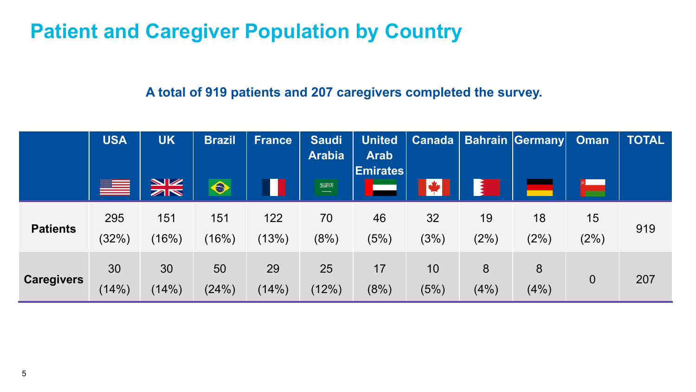### **Patient and Caregiver Population by Country**

#### **A total of 919 patients and 207 caregivers completed the survey.**

|                   | <b>USA</b>   | <b>UK</b>     | <b>Brazil</b>           | <b>France</b> | <b>Saudi</b><br><b>Arabia</b> | <b>United</b><br><b>Arab</b><br><b>Emirates</b> |            |            | Canada   Bahrain Germany | <b>Oman</b>    | <b>TOTAL</b> |
|-------------------|--------------|---------------|-------------------------|---------------|-------------------------------|-------------------------------------------------|------------|------------|--------------------------|----------------|--------------|
|                   |              | $\frac{N}{N}$ | $\hat{\mathbf{\Theta}}$ |               | B(X)<br>$-\rightarrow$        |                                                 |            |            |                          |                |              |
| <b>Patients</b>   | 295<br>(32%) | 151<br>(16%)  | 151<br>$(16\%)$         | 122<br>(13%)  | 70<br>(8%)                    | 46<br>(5%)                                      | 32<br>(3%) | 19<br>(2%) | 18<br>(2%)               | 15<br>(2%)     | 919          |
| <b>Caregivers</b> | 30<br>(14%)  | 30<br>(14%)   | 50<br>(24%)             | 29<br>(14%)   | 25<br>(12%)                   | 17<br>(8%)                                      | 10<br>(5%) | 8<br>(4% ) | 8<br>(4%)                | $\overline{0}$ | 207          |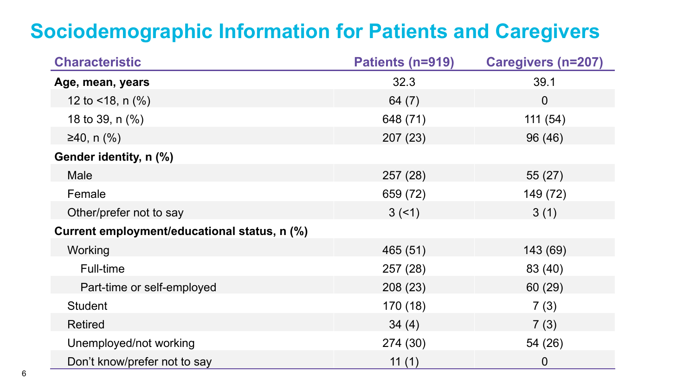# **Sociodemographic Information for Patients and Caregivers**

| <b>Characteristic</b>                        | Patients (n=919) | <b>Caregivers (n=207)</b> |  |  |
|----------------------------------------------|------------------|---------------------------|--|--|
| Age, mean, years                             | 32.3             | 39.1                      |  |  |
| 12 to $<$ 18, n $(\%)$                       | 64 $(7)$         | $\overline{0}$            |  |  |
| 18 to 39, $n$ $%$                            | 648 (71)         | 111(54)                   |  |  |
| $≥40$ , n $(%$                               | 207 (23)         | 96 (46)                   |  |  |
| Gender identity, n (%)                       |                  |                           |  |  |
| Male                                         | 257 (28)         | 55(27)                    |  |  |
| Female                                       | 659 (72)         | 149 (72)                  |  |  |
| Other/prefer not to say                      | 3(5)             | 3(1)                      |  |  |
| Current employment/educational status, n (%) |                  |                           |  |  |
| Working                                      | 465 (51)         | 143 (69)                  |  |  |
| Full-time                                    | 257 (28)         | 83 (40)                   |  |  |
| Part-time or self-employed                   | 208 (23)         | 60 (29)                   |  |  |
| <b>Student</b>                               | 170 (18)         | 7(3)                      |  |  |
| <b>Retired</b>                               | 34(4)            | 7(3)                      |  |  |
| Unemployed/not working                       | 274 (30)         | 54 (26)                   |  |  |
| Don't know/prefer not to say                 | 11 $(1)$         | 0                         |  |  |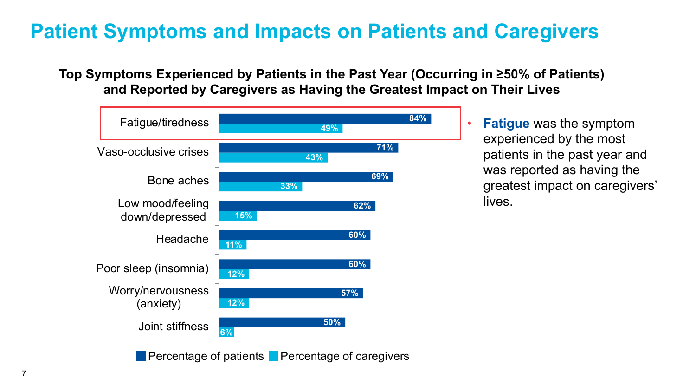# **Patient Symptoms and Impacts on Patients and Caregivers**

#### **Top Symptoms Experienced by Patients in the Past Year (Occurring in ≥50% of Patients) and Reported by Caregivers as Having the Greatest Impact on Their Lives**



• **Fatigue** was the symptom experienced by the most patients in the past year and was reported as having the greatest impact on caregivers' lives.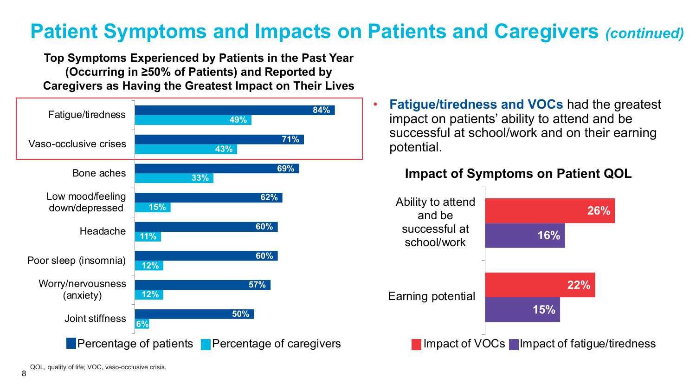### **Patient Symptoms and Impacts on Patients and Caregivers** *(continued)*

**Top Symptoms Experienced by Patients in the Past Year (Occurring in ≥50% of Patients) and Reported by Caregivers as Having the Greatest Impact on Their Lives**



• **Fatigue/tiredness and VOCs** had the greatest impact on patients' ability to attend and be successful at school/work and on their earning potential.

#### **Impact of Symptoms on Patient QOL**



QOL, quality of life; VOC, vaso-occlusive crisis.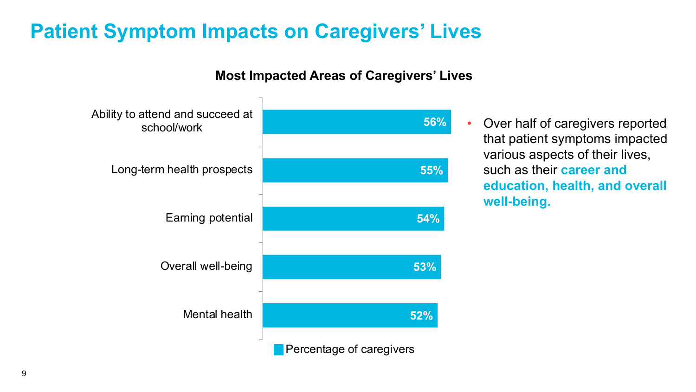### **Patient Symptom Impacts on Caregivers' Lives**

#### **Most Impacted Areas of Caregivers' Lives**



• Over half of caregivers reported that patient symptoms impacted various aspects of their lives, such as their **career and education, health, and overall well-being.**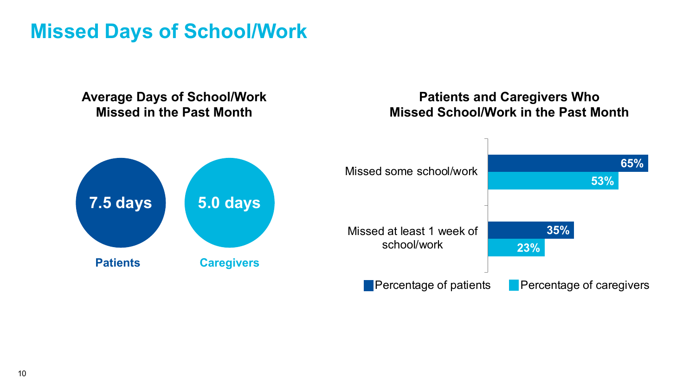### **Missed Days of School/Work**

#### **23% 53% 35% 65%** Missed at least 1 week of school/work Missed some school/work **Percentage of patients Percentage of caregivers Patients and Caregivers Who Missed School/Work in the Past Month Average Days of School/Work Missed in the Past Month 7.5 days 5.0 days Patients Caregivers**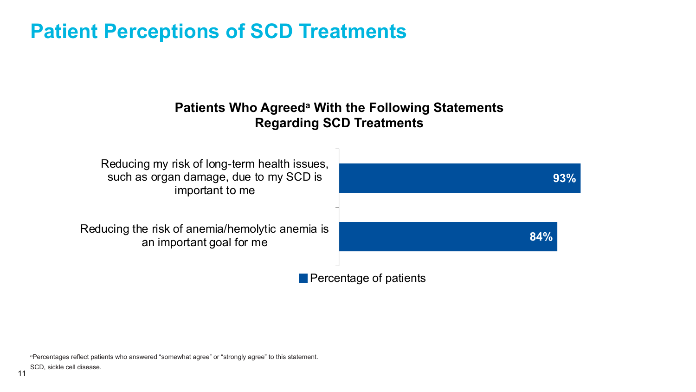### **Patient Perceptions of SCD Treatments**

#### **Patients Who Agreeda With the Following Statements Regarding SCD Treatments**



aPercentages reflect patients who answered "somewhat agree" or "strongly agree" to this statement.

SCD, sickle cell disease.

11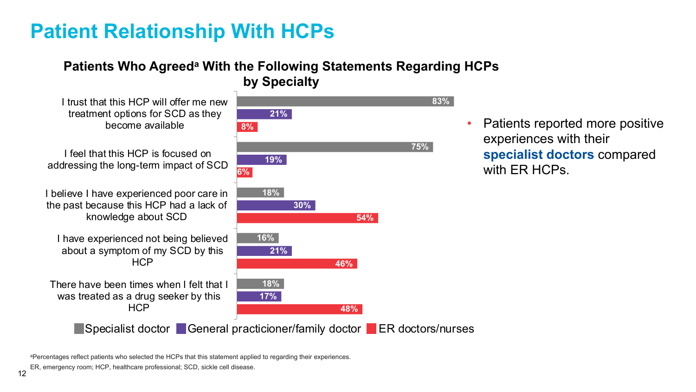## **Patient Relationship With HCPs**

### **Patients Who Agreeda With the Following Statements Regarding HCPs**

**by Specialty**

I trust that this HCP will offer me new treatment options for SCD as they become available

I feel that this HCP is focused on addressing the long-term impact of SCD

I believe I have experienced poor care in the past because this HCP had a lack of knowledge about SCD

I have experienced not being believed about a symptom of my SCD by this **HCP** 

There have been times when I felt that I was treated as a drug seeker by this **HCP** 

**Specialist doctor General practicioner/family doctor ER doctors/nurses** 



• Patients reported more positive experiences with their **specialist doctors** compared with FR HCPs

aPercentages reflect patients who selected the HCPs that this statement applied to regarding their experiences.

ER, emergency room; HCP, healthcare professional; SCD, sickle cell disease.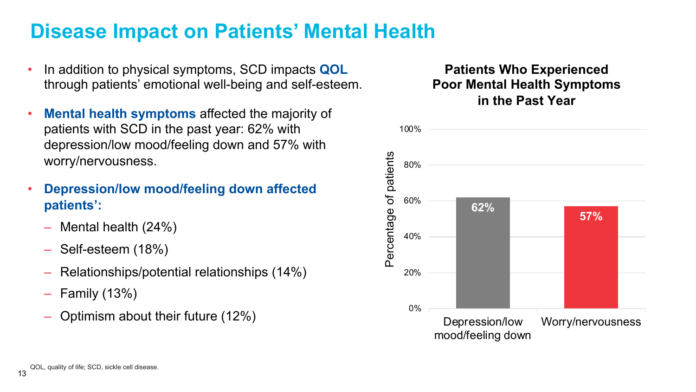### **Disease Impact on Patients' Mental Health**

- In addition to physical symptoms, SCD impacts **QOL**  through patients' emotional well-being and self-esteem.
- **Mental health symptoms affected the majority of** patients with SCD in the past year: 62% with depression/low mood/feeling down and 57% with worry/nervousness.
- **Depression/low mood/feeling down affected patients':**
	- Mental health (24%)
	- Self-esteem (18%)
	- Relationships/potential relationships (14%)
	- Family (13%)
	- Optimism about their future (12%)

#### **Patients Who Experienced Poor Mental Health Symptoms in the Past Year**

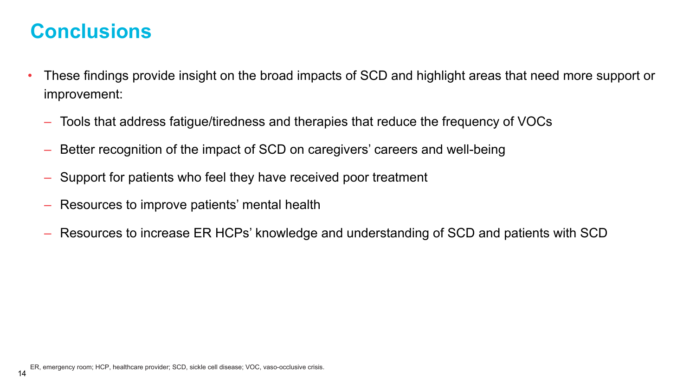### **Conclusions**

- These findings provide insight on the broad impacts of SCD and highlight areas that need more support or improvement:
	- Tools that address fatigue/tiredness and therapies that reduce the frequency of VOCs
	- Better recognition of the impact of SCD on caregivers' careers and well-being
	- Support for patients who feel they have received poor treatment
	- Resources to improve patients' mental health
	- Resources to increase ER HCPs' knowledge and understanding of SCD and patients with SCD